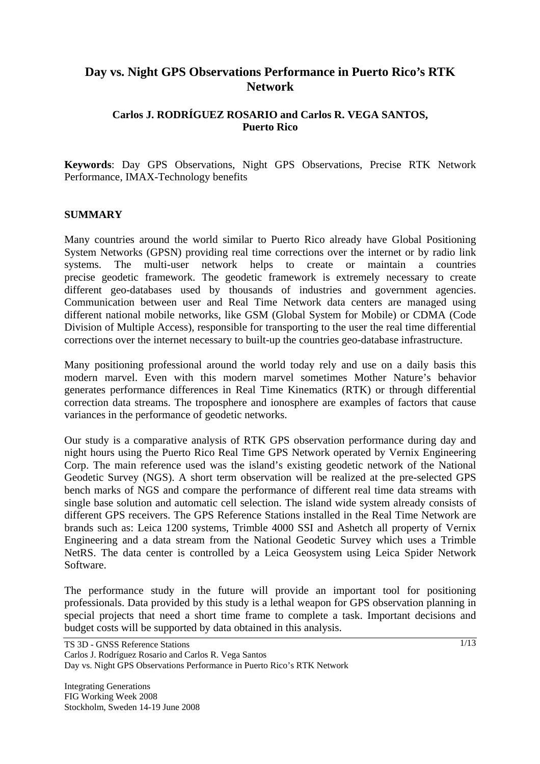# **Day vs. Night GPS Observations Performance in Puerto Rico's RTK Network**

# **Carlos J. RODRÍGUEZ ROSARIO and Carlos R. VEGA SANTOS, Puerto Rico**

**Keywords**: Day GPS Observations, Night GPS Observations, Precise RTK Network Performance, IMAX-Technology benefits

#### **SUMMARY**

Many countries around the world similar to Puerto Rico already have Global Positioning System Networks (GPSN) providing real time corrections over the internet or by radio link systems. The multi-user network helps to create or maintain a countries precise geodetic framework. The geodetic framework is extremely necessary to create different geo-databases used by thousands of industries and government agencies. Communication between user and Real Time Network data centers are managed using different national mobile networks, like GSM (Global System for Mobile) or CDMA (Code Division of Multiple Access), responsible for transporting to the user the real time differential corrections over the internet necessary to built-up the countries geo-database infrastructure.

Many positioning professional around the world today rely and use on a daily basis this modern marvel. Even with this modern marvel sometimes Mother Nature's behavior generates performance differences in Real Time Kinematics (RTK) or through differential correction data streams. The troposphere and ionosphere are examples of factors that cause variances in the performance of geodetic networks.

Our study is a comparative analysis of RTK GPS observation performance during day and night hours using the Puerto Rico Real Time GPS Network operated by Vernix Engineering Corp. The main reference used was the island's existing geodetic network of the National Geodetic Survey (NGS). A short term observation will be realized at the pre-selected GPS bench marks of NGS and compare the performance of different real time data streams with single base solution and automatic cell selection. The island wide system already consists of different GPS receivers. The GPS Reference Stations installed in the Real Time Network are brands such as: Leica 1200 systems, Trimble 4000 SSI and Ashetch all property of Vernix Engineering and a data stream from the National Geodetic Survey which uses a Trimble NetRS. The data center is controlled by a Leica Geosystem using Leica Spider Network Software.

The performance study in the future will provide an important tool for positioning professionals. Data provided by this study is a lethal weapon for GPS observation planning in special projects that need a short time frame to complete a task. Important decisions and budget costs will be supported by data obtained in this analysis.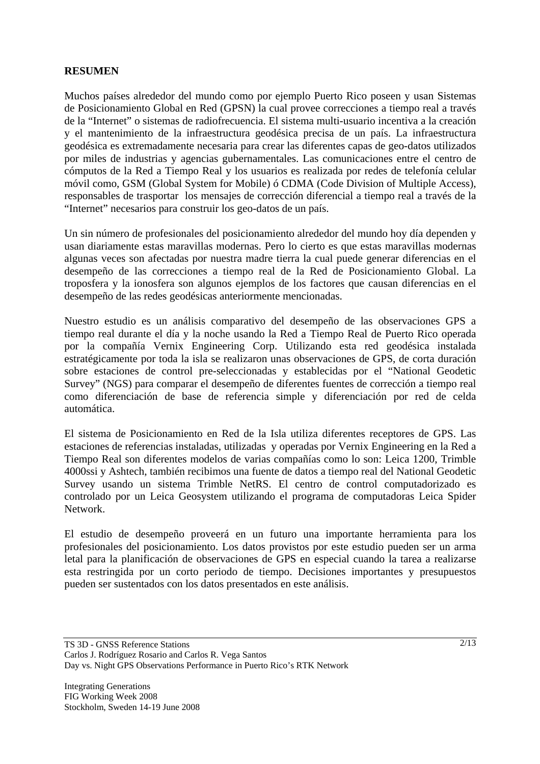### **RESUMEN**

Muchos países alrededor del mundo como por ejemplo Puerto Rico poseen y usan Sistemas de Posicionamiento Global en Red (GPSN) la cual provee correcciones a tiempo real a través de la "Internet" o sistemas de radiofrecuencia. El sistema multi-usuario incentiva a la creación y el mantenimiento de la infraestructura geodésica precisa de un país. La infraestructura geodésica es extremadamente necesaria para crear las diferentes capas de geo-datos utilizados por miles de industrias y agencias gubernamentales. Las comunicaciones entre el centro de cómputos de la Red a Tiempo Real y los usuarios es realizada por redes de telefonía celular móvil como, GSM (Global System for Mobile) ó CDMA (Code Division of Multiple Access), responsables de trasportar los mensajes de corrección diferencial a tiempo real a través de la "Internet" necesarios para construir los geo-datos de un país.

Un sin número de profesionales del posicionamiento alrededor del mundo hoy día dependen y usan diariamente estas maravillas modernas. Pero lo cierto es que estas maravillas modernas algunas veces son afectadas por nuestra madre tierra la cual puede generar diferencias en el desempeño de las correcciones a tiempo real de la Red de Posicionamiento Global. La troposfera y la ionosfera son algunos ejemplos de los factores que causan diferencias en el desempeño de las redes geodésicas anteriormente mencionadas.

Nuestro estudio es un análisis comparativo del desempeño de las observaciones GPS a tiempo real durante el día y la noche usando la Red a Tiempo Real de Puerto Rico operada por la compañía Vernix Engineering Corp. Utilizando esta red geodésica instalada estratégicamente por toda la isla se realizaron unas observaciones de GPS, de corta duración sobre estaciones de control pre-seleccionadas y establecidas por el "National Geodetic Survey" (NGS) para comparar el desempeño de diferentes fuentes de corrección a tiempo real como diferenciación de base de referencia simple y diferenciación por red de celda automática.

El sistema de Posicionamiento en Red de la Isla utiliza diferentes receptores de GPS. Las estaciones de referencias instaladas, utilizadas y operadas por Vernix Engineering en la Red a Tiempo Real son diferentes modelos de varias compañías como lo son: Leica 1200, Trimble 4000ssi y Ashtech, también recibimos una fuente de datos a tiempo real del National Geodetic Survey usando un sistema Trimble NetRS. El centro de control computadorizado es controlado por un Leica Geosystem utilizando el programa de computadoras Leica Spider Network.

El estudio de desempeño proveerá en un futuro una importante herramienta para los profesionales del posicionamiento. Los datos provistos por este estudio pueden ser un arma letal para la planificación de observaciones de GPS en especial cuando la tarea a realizarse esta restringida por un corto periodo de tiempo. Decisiones importantes y presupuestos pueden ser sustentados con los datos presentados en este análisis.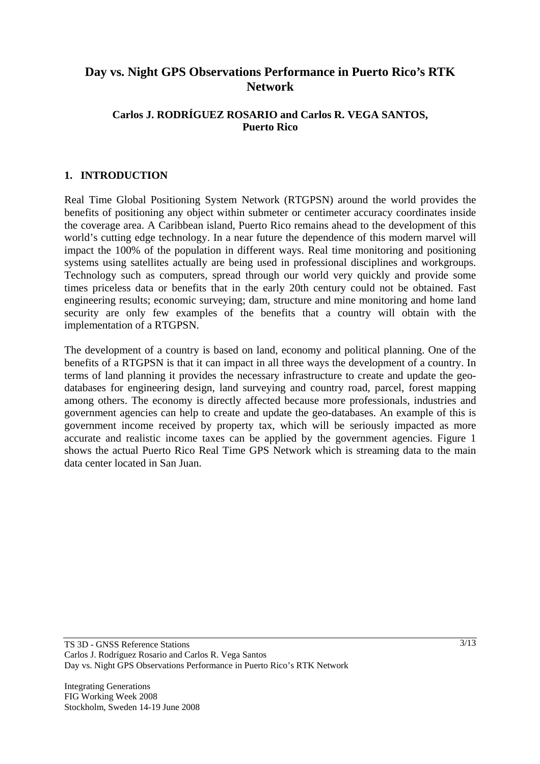# **Day vs. Night GPS Observations Performance in Puerto Rico's RTK Network**

# **Carlos J. RODRÍGUEZ ROSARIO and Carlos R. VEGA SANTOS, Puerto Rico**

#### **1. INTRODUCTION**

Real Time Global Positioning System Network (RTGPSN) around the world provides the benefits of positioning any object within submeter or centimeter accuracy coordinates inside the coverage area. A Caribbean island, Puerto Rico remains ahead to the development of this world's cutting edge technology. In a near future the dependence of this modern marvel will impact the 100% of the population in different ways. Real time monitoring and positioning systems using satellites actually are being used in professional disciplines and workgroups. Technology such as computers, spread through our world very quickly and provide some times priceless data or benefits that in the early 20th century could not be obtained. Fast engineering results; economic surveying; dam, structure and mine monitoring and home land security are only few examples of the benefits that a country will obtain with the implementation of a RTGPSN.

The development of a country is based on land, economy and political planning. One of the benefits of a RTGPSN is that it can impact in all three ways the development of a country. In terms of land planning it provides the necessary infrastructure to create and update the geodatabases for engineering design, land surveying and country road, parcel, forest mapping among others. The economy is directly affected because more professionals, industries and government agencies can help to create and update the geo-databases. An example of this is government income received by property tax, which will be seriously impacted as more accurate and realistic income taxes can be applied by the government agencies. Figure 1 shows the actual Puerto Rico Real Time GPS Network which is streaming data to the main data center located in San Juan.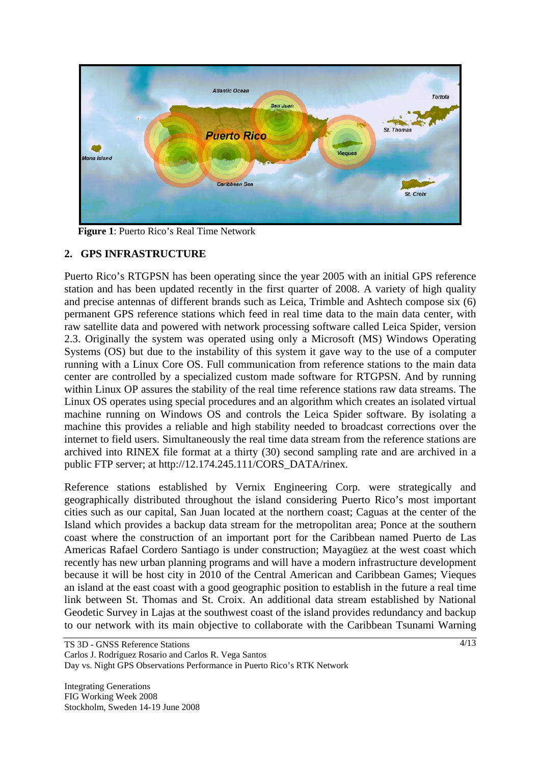

**Figure 1**: Puerto Rico's Real Time Network

# **2. GPS INFRASTRUCTURE**

Puerto Rico's RTGPSN has been operating since the year 2005 with an initial GPS reference station and has been updated recently in the first quarter of 2008. A variety of high quality and precise antennas of different brands such as Leica, Trimble and Ashtech compose six (6) permanent GPS reference stations which feed in real time data to the main data center, with raw satellite data and powered with network processing software called Leica Spider, version 2.3. Originally the system was operated using only a Microsoft (MS) Windows Operating Systems (OS) but due to the instability of this system it gave way to the use of a computer running with a Linux Core OS. Full communication from reference stations to the main data center are controlled by a specialized custom made software for RTGPSN. And by running within Linux OP assures the stability of the real time reference stations raw data streams. The Linux OS operates using special procedures and an algorithm which creates an isolated virtual machine running on Windows OS and controls the Leica Spider software. By isolating a machine this provides a reliable and high stability needed to broadcast corrections over the internet to field users. Simultaneously the real time data stream from the reference stations are archived into RINEX file format at a thirty (30) second sampling rate and are archived in a public FTP server; at http://12.174.245.111/CORS\_DATA/rinex.

Reference stations established by Vernix Engineering Corp. were strategically and geographically distributed throughout the island considering Puerto Rico's most important cities such as our capital, San Juan located at the northern coast; Caguas at the center of the Island which provides a backup data stream for the metropolitan area; Ponce at the southern coast where the construction of an important port for the Caribbean named Puerto de Las Americas Rafael Cordero Santiago is under construction; Mayagüez at the west coast which recently has new urban planning programs and will have a modern infrastructure development because it will be host city in 2010 of the Central American and Caribbean Games; Vieques an island at the east coast with a good geographic position to establish in the future a real time link between St. Thomas and St. Croix. An additional data stream established by National Geodetic Survey in Lajas at the southwest coast of the island provides redundancy and backup to our network with its main objective to collaborate with the Caribbean Tsunami Warning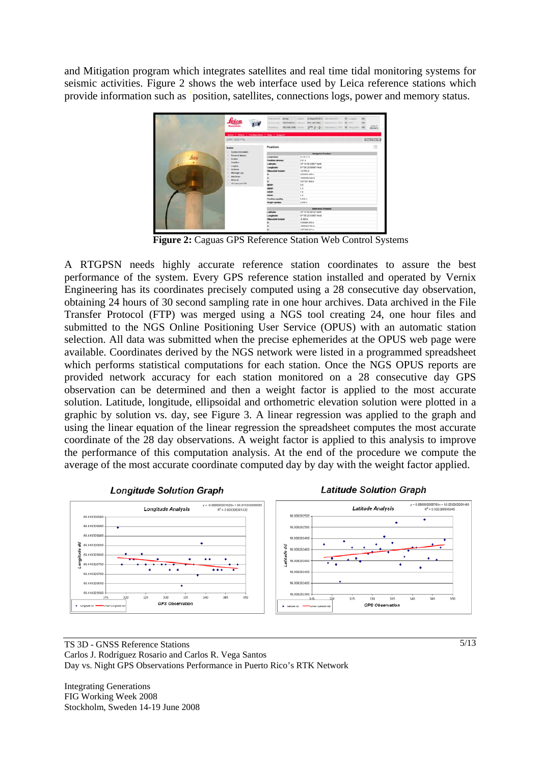and Mitigation program which integrates satellites and real time tidal monitoring systems for seismic activities. Figure 2 shows the web interface used by Leica reference stations which provide information such as `position, satellites, connections logs, power and memory status.



 **Figure 2:** Caguas GPS Reference Station Web Control Systems

A RTGPSN needs highly accurate reference station coordinates to assure the best performance of the system. Every GPS reference station installed and operated by Vernix Engineering has its coordinates precisely computed using a 28 consecutive day observation, obtaining 24 hours of 30 second sampling rate in one hour archives. Data archived in the File Transfer Protocol (FTP) was merged using a NGS tool creating 24, one hour files and submitted to the NGS Online Positioning User Service (OPUS) with an automatic station selection. All data was submitted when the precise ephemerides at the OPUS web page were available. Coordinates derived by the NGS network were listed in a programmed spreadsheet which performs statistical computations for each station. Once the NGS OPUS reports are provided network accuracy for each station monitored on a 28 consecutive day GPS observation can be determined and then a weight factor is applied to the most accurate solution. Latitude, longitude, ellipsoidal and orthometric elevation solution were plotted in a graphic by solution vs. day, see Figure 3. A linear regression was applied to the graph and using the linear equation of the linear regression the spreadsheet computes the most accurate coordinate of the 28 day observations. A weight factor is applied to this analysis to improve the performance of this computation analysis. At the end of the procedure we compute the average of the most accurate coordinate computed day by day with the weight factor applied.



TS 3D - GNSS Reference Stations Carlos J. Rodríguez Rosario and Carlos R. Vega Santos Day vs. Night GPS Observations Performance in Puerto Rico's RTK Network

Integrating Generations FIG Working Week 2008 Stockholm, Sweden 14-19 June 2008 5/13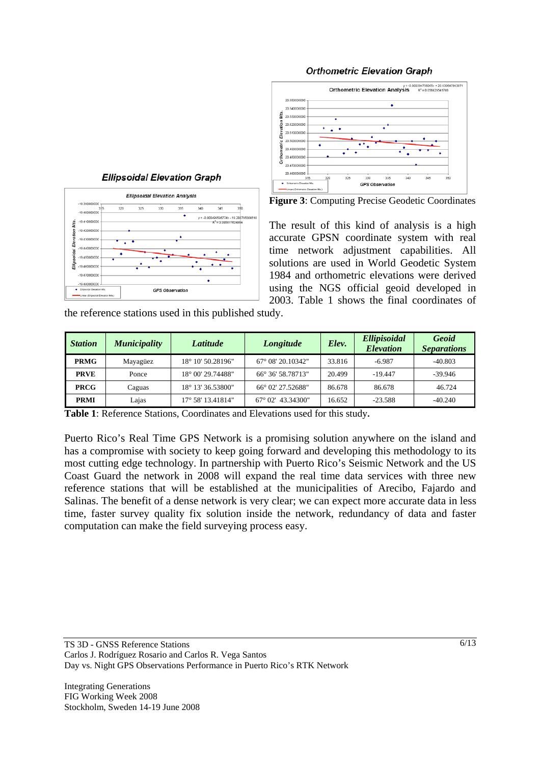

Elev

#### **Orthometric Elevation Graph**



**Figure 3**: Computing Precise Geodetic Coordinates

The result of this kind of analysis is a high accurate GPSN coordinate system with real time network adjustment capabilities. All solutions are used in World Geodetic System 1984 and orthometric elevations were derived using the NGS official geoid developed in 2003. Table 1 shows the final coordinates of

the reference stations used in this published study.

| <b>Station</b> | <b>Municipality</b> | Latitude                   | Longitude                  | Elev.  | Ellipisoidal<br><b>Elevation</b> | Geoid<br><b>Separations</b> |
|----------------|---------------------|----------------------------|----------------------------|--------|----------------------------------|-----------------------------|
| <b>PRMG</b>    | Mayagüez            | 18° 10' 50.28196"          | $67^{\circ}$ 08' 20.10342" | 33.816 | $-6.987$                         | $-40.803$                   |
| <b>PRVE</b>    | Ponce               | 18° 00' 29.74488"          | 66° 36′ 58.78713″          | 20.499 | $-19.447$                        | $-39.946$                   |
| <b>PRCG</b>    | Caguas              | 18° 13′ 36.53800"          | 66° 02′ 27.52688″          | 86.678 | 86.678                           | 46.724                      |
| <b>PRMI</b>    | Lajas               | $17^{\circ}$ 58' 13.41814" | $67^{\circ}$ 02' 43.34300" | 16.652 | $-23.588$                        | $-40.240$                   |

**Table 1**: Reference Stations, Coordinates and Elevations used for this study**.** 

Puerto Rico's Real Time GPS Network is a promising solution anywhere on the island and has a compromise with society to keep going forward and developing this methodology to its most cutting edge technology. In partnership with Puerto Rico's Seismic Network and the US Coast Guard the network in 2008 will expand the real time data services with three new reference stations that will be established at the municipalities of Arecibo, Fajardo and Salinas. The benefit of a dense network is very clear; we can expect more accurate data in less time, faster survey quality fix solution inside the network, redundancy of data and faster computation can make the field surveying process easy.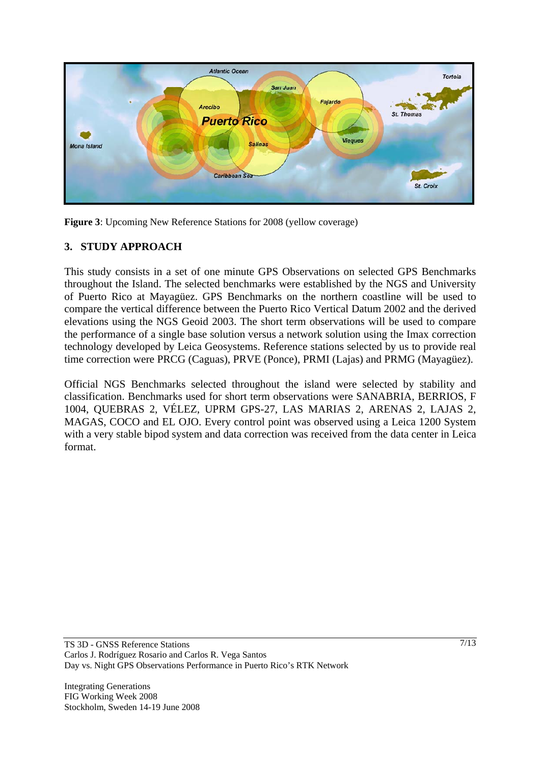

**Figure 3**: Upcoming New Reference Stations for 2008 (yellow coverage)

# **3. STUDY APPROACH**

This study consists in a set of one minute GPS Observations on selected GPS Benchmarks throughout the Island. The selected benchmarks were established by the NGS and University of Puerto Rico at Mayagüez. GPS Benchmarks on the northern coastline will be used to compare the vertical difference between the Puerto Rico Vertical Datum 2002 and the derived elevations using the NGS Geoid 2003. The short term observations will be used to compare the performance of a single base solution versus a network solution using the Imax correction technology developed by Leica Geosystems. Reference stations selected by us to provide real time correction were PRCG (Caguas), PRVE (Ponce), PRMI (Lajas) and PRMG (Mayagüez).

Official NGS Benchmarks selected throughout the island were selected by stability and classification. Benchmarks used for short term observations were SANABRIA, BERRIOS, F 1004, QUEBRAS 2, VÉLEZ, UPRM GPS-27, LAS MARIAS 2, ARENAS 2, LAJAS 2, MAGAS, COCO and EL OJO. Every control point was observed using a Leica 1200 System with a very stable bipod system and data correction was received from the data center in Leica format.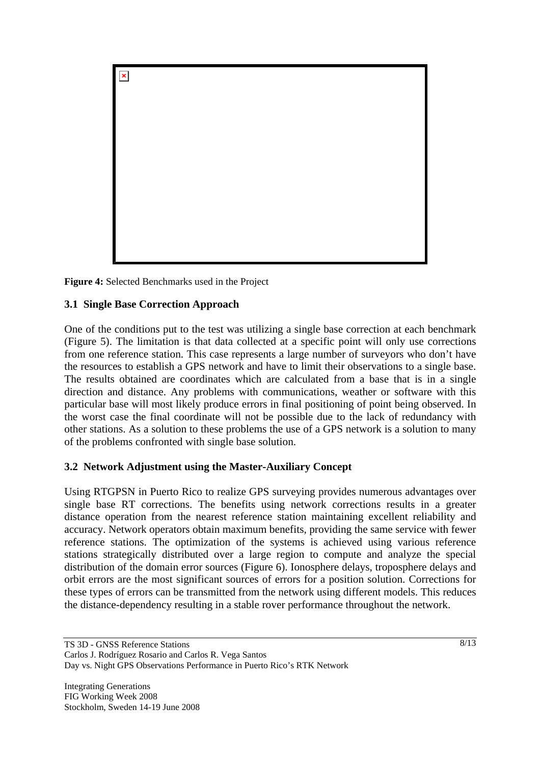

**Figure 4:** Selected Benchmarks used in the Project

# **3.1 Single Base Correction Approach**

One of the conditions put to the test was utilizing a single base correction at each benchmark (Figure 5). The limitation is that data collected at a specific point will only use corrections from one reference station. This case represents a large number of surveyors who don't have the resources to establish a GPS network and have to limit their observations to a single base. The results obtained are coordinates which are calculated from a base that is in a single direction and distance. Any problems with communications, weather or software with this particular base will most likely produce errors in final positioning of point being observed. In the worst case the final coordinate will not be possible due to the lack of redundancy with other stations. As a solution to these problems the use of a GPS network is a solution to many of the problems confronted with single base solution.

### **3.2 Network Adjustment using the Master-Auxiliary Concept**

Using RTGPSN in Puerto Rico to realize GPS surveying provides numerous advantages over single base RT corrections. The benefits using network corrections results in a greater distance operation from the nearest reference station maintaining excellent reliability and accuracy. Network operators obtain maximum benefits, providing the same service with fewer reference stations. The optimization of the systems is achieved using various reference stations strategically distributed over a large region to compute and analyze the special distribution of the domain error sources (Figure 6). Ionosphere delays, troposphere delays and orbit errors are the most significant sources of errors for a position solution. Corrections for these types of errors can be transmitted from the network using different models. This reduces the distance-dependency resulting in a stable rover performance throughout the network.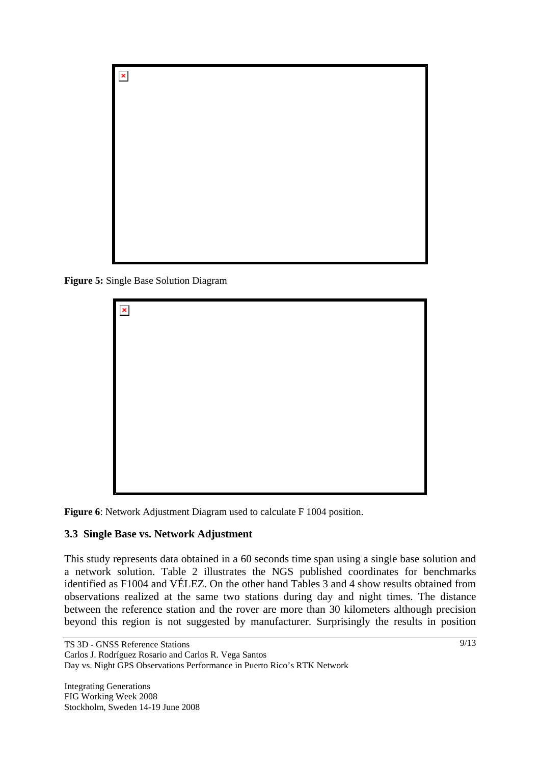

**Figure 5:** Single Base Solution Diagram

| $\pmb{\times}$ |  |  |  |
|----------------|--|--|--|
|                |  |  |  |
|                |  |  |  |
|                |  |  |  |
|                |  |  |  |
|                |  |  |  |
|                |  |  |  |

**Figure 6**: Network Adjustment Diagram used to calculate F 1004 position.

### **3.3 Single Base vs. Network Adjustment**

This study represents data obtained in a 60 seconds time span using a single base solution and a network solution. Table 2 illustrates the NGS published coordinates for benchmarks identified as F1004 and VÉLEZ. On the other hand Tables 3 and 4 show results obtained from observations realized at the same two stations during day and night times. The distance between the reference station and the rover are more than 30 kilometers although precision beyond this region is not suggested by manufacturer. Surprisingly the results in position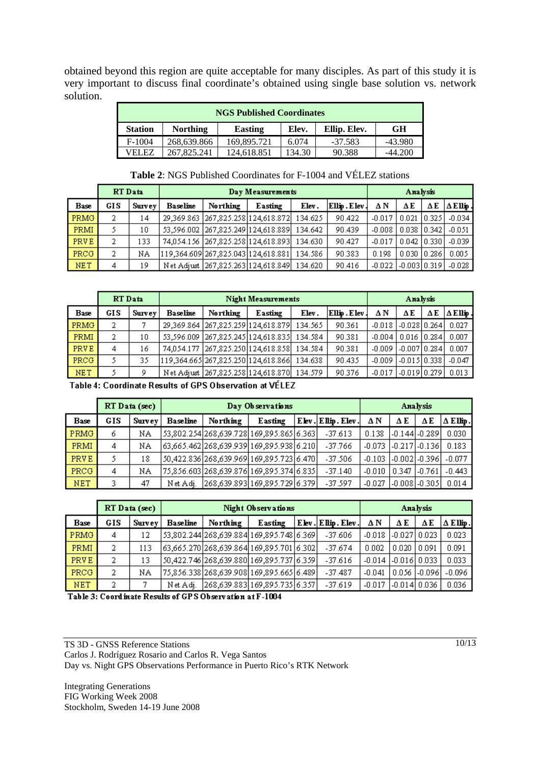obtained beyond this region are quite acceptable for many disciples. As part of this study it is very important to discuss final coordinate's obtained using single base solution vs. network solution.

|                | <b>NGS Published Coordinates</b>                                        |             |        |           |           |  |  |  |  |  |  |  |  |
|----------------|-------------------------------------------------------------------------|-------------|--------|-----------|-----------|--|--|--|--|--|--|--|--|
| <b>Station</b> | Ellip. Elev.<br><b>GH</b><br><b>Northing</b><br>Elev.<br><b>Easting</b> |             |        |           |           |  |  |  |  |  |  |  |  |
| $F-1004$       | 268.639.866                                                             | 169.895.721 | 6.074  | $-37.583$ | $-43.980$ |  |  |  |  |  |  |  |  |
| VEI EZ         | 267.825.241                                                             | 124.618.851 | 134.30 | 90.388    | $-44.200$ |  |  |  |  |  |  |  |  |

|             | RT Data |        |                 |                                       | Day Measurements |         |                       |          | Analysis                                  |    |                 |  |
|-------------|---------|--------|-----------------|---------------------------------------|------------------|---------|-----------------------|----------|-------------------------------------------|----|-----------------|--|
| <b>Base</b> | GIS     | Survey | <b>Baseline</b> | Northing                              | Easting          | Elev.   | $ E$ llip . $E$ lev . | ΔΝ       | ΔΕ                                        | ΔΕ | $\Delta$ Ellip. |  |
| <b>PRMG</b> | 2       | 14     |                 | 29.369.863 267.825.258 124.618.872    |                  | 134.625 | 90.422                | $-0.017$ | $\left[0.021\right]$ $\left[0.325\right]$ |    | $-0.034$        |  |
| <b>PRMI</b> |         | 10     |                 | 53,596.002 267,825.249 124,618.889    |                  | 134.642 | 90.439                | $-0.008$ | 0.038 0.342                               |    | $-0.051$        |  |
| <b>PRVE</b> | 2       | 133    |                 | 74.054.156 267.825.258 124.618.893    |                  | 134.630 | 90.427                | $-0.017$ | $\vert 0.042 \vert 0.330 \vert$           |    | $-0.039$        |  |
| <b>PRCG</b> | 2       | ΝA     |                 | 119.364.609  267.825.043  124.618.881 |                  | 134.586 | 90.383                | 0.198    | 0.030 0.286                               |    | 0.005           |  |
| <b>NET</b>  | 4       | 19     |                 | Net Adjust 267,825.263 124,618.849    |                  | 134.620 | 90.416                | $-0.022$ | $-0.003$ $0.319$                          |    | $-0.028$        |  |

# **Table 2**: NGS Published Coordinates for F-1004 and VÉLEZ stations

|             | RT Data |        |          | <b>Night Measurements</b>           |         |         |             | Analysis |                      |    |                   |
|-------------|---------|--------|----------|-------------------------------------|---------|---------|-------------|----------|----------------------|----|-------------------|
| Base        | GIS     | Survey | Baseline | Northing                            | Easting | Elev.   | Ellip.Elev. | ΔN       | ΔΕ                   | ΔΕ | $\Delta$ E llip . |
| PRMG        | 2       |        |          | 29,369.864 267,825.259 124,618.879  |         | 134.565 | 90.361      | $-0.018$ | $1-0.02810.264$      |    | 0.027             |
| PRMI        | 2       | 10     |          | 53,596.009 267,825.245 124,618.835  |         | 134.584 | 90.381      | $-0.004$ | l 0.016 l 0.284 l    |    | 0.007             |
| PRVE        | 4       | 16     |          | 74.054.177 267.825.250 124.618.858  |         | 134.584 | 90.381      | $-0.009$ | $-0.007$ $0.284$ $ $ |    | 0.007             |
| <b>PRCG</b> | 5       | 35     |          | 119,364.665 267,825.250 124,618.866 |         | 134.638 | 90.435      | $-0.009$ | $-0.015$ 0.338       |    | $-0.047$          |
| <b>NET</b>  |         | 9      |          | Net Adjust 267,825,258 124,618,870  |         | 134.579 | 90.376      | $-0.017$ | -0.019 0.279         |    | 0.013             |

Table 4: Coordinate Results of GPS Observation at VÉLEZ

|            |     | RT Data (sec) |                 | Day Observations                               |         |  |                   |          | Analysis          |                          |          |  |
|------------|-----|---------------|-----------------|------------------------------------------------|---------|--|-------------------|----------|-------------------|--------------------------|----------|--|
| Base       | GIS | Survey        | <b>Baseline</b> | Northing                                       | Easting |  | Elev. Elip. Elev. | ΔΝ       | ΔΕ                | ΔΕ                       | ∆ ЕЊр.   |  |
| PRMG       | 6   | ΝA            |                 | 53,802.254 268,639.728 169,895.865 6.363       |         |  | $-37.613$         | 0.138    |                   | $-0.144$ $-0.289$ $\mid$ | 0.030    |  |
| PRMI       | 4   | ΝA            |                 | 63.665.462 268.639.939 169.895.938 6.210       |         |  | $-37.766$         | $-0.073$ |                   | $-0.217$ ] $-0.136$ ]    | 0.183    |  |
| PRVE       |     | 18            |                 | 50.422.836   268.639.969   169.895.723   6.470 |         |  | $-37.506$         | $-0.103$ |                   | 1-0.0021-0.3961          | $-0.077$ |  |
| PRCG       | 4   | ΝA            |                 | 75,856.603 268,639.876 169,895.374 6.835       |         |  | $-37.140$         | $-0.010$ | $0.347$ $1-0.761$ |                          | $-0.443$ |  |
| <b>NET</b> | ٩   | 47            | Net Adi.        | 268,639.893 169,895.729 6.379                  |         |  | $-37.597$         | $-0.027$ |                   | -0.0081-0.3051           | 0.014    |  |

|             |     | RT Data (sec) | Night Observations |          |                                          |  |                   |                           | Analysis          |       |                 |  |
|-------------|-----|---------------|--------------------|----------|------------------------------------------|--|-------------------|---------------------------|-------------------|-------|-----------------|--|
| Base        | GIS | Survey        | <b>Baseline</b>    | Northing | Easting                                  |  | Elev. Elip. Elev. | ΔΝ                        | ΔΕ                | ΔΕ    | $\Delta$ Ellip. |  |
| <b>PRMG</b> | 4   | 12            |                    |          | 53,802.244 268,639.884 169,895.748 6.369 |  | $-37.606$         | $-0.018$                  | $1-0.02710.023$   |       | 0.023           |  |
| PRMI        | 2   | 113           |                    |          | 63,665.270 268,639.864 169,895.701 6.302 |  | $-37.674$         | 0.002                     | 0.020             | 0.091 | 0.091           |  |
| PRVE        | 2   | 13            |                    |          | 50,422.746 268,639.880 169,895.737 6.359 |  | $-37.616$         | $-0.014$ $-0.016$ $0.033$ |                   |       | 0.033           |  |
| <b>PRCG</b> | 2   | NΑ            |                    |          | 75,856.338 268,639.908 169,895.665 6.489 |  | $-37.487$         | $-0.041$                  | 0.056   -0.096    |       | $-0.096$        |  |
| <b>NET</b>  | 2   |               | Net Adi.           |          | 268,639.883 169,895.735 6.357            |  | $-37.619$         | $-0.017$                  | $1 - 0.01410.036$ |       | 0.036           |  |

Table 3: Coordinate Results of GPS Observation at F-1004

TS 3D - GNSS Reference Stations Carlos J. Rodríguez Rosario and Carlos R. Vega Santos Day vs. Night GPS Observations Performance in Puerto Rico's RTK Network

Integrating Generations FIG Working Week 2008 Stockholm, Sweden 14-19 June 2008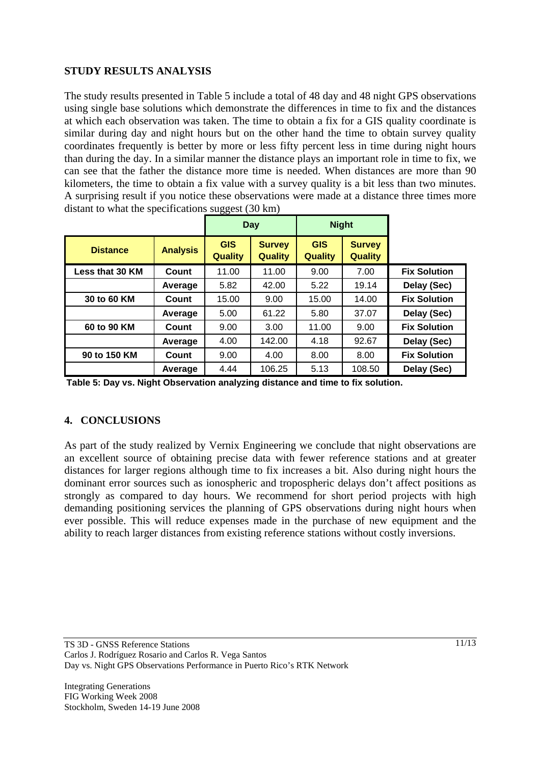# **STUDY RESULTS ANALYSIS**

The study results presented in Table 5 include a total of 48 day and 48 night GPS observations using single base solutions which demonstrate the differences in time to fix and the distances at which each observation was taken. The time to obtain a fix for a GIS quality coordinate is similar during day and night hours but on the other hand the time to obtain survey quality coordinates frequently is better by more or less fifty percent less in time during night hours than during the day. In a similar manner the distance plays an important role in time to fix, we can see that the father the distance more time is needed. When distances are more than 90 kilometers, the time to obtain a fix value with a survey quality is a bit less than two minutes. A surprising result if you notice these observations were made at a distance three times more distant to what the specifications suggest (30 km)

|                 |                 | Day                          |                                 | <b>Night</b>                 |                                 |                     |
|-----------------|-----------------|------------------------------|---------------------------------|------------------------------|---------------------------------|---------------------|
| <b>Distance</b> | <b>Analysis</b> | <b>GIS</b><br><b>Quality</b> | <b>Survey</b><br><b>Quality</b> | <b>GIS</b><br><b>Quality</b> | <b>Survey</b><br><b>Quality</b> |                     |
| Less that 30 KM | Count           | 11.00                        | 11.00                           | 9.00                         | 7.00                            | <b>Fix Solution</b> |
|                 | Average         | 5.82                         | 42.00                           | 5.22                         | 19.14                           | Delay (Sec)         |
| 30 to 60 KM     | Count           | 15.00                        | 9.00                            | 15.00                        | 14.00                           | <b>Fix Solution</b> |
|                 | Average         | 5.00                         | 61.22                           | 5.80                         | 37.07                           | Delay (Sec)         |
| 60 to 90 KM     | Count           | 9.00                         | 3.00                            | 11.00                        | 9.00                            | <b>Fix Solution</b> |
|                 | Average         | 4.00                         | 142.00                          | 4.18                         | 92.67                           | Delay (Sec)         |
| 90 to 150 KM    | Count           | 9.00                         | 4.00                            | 8.00                         | 8.00                            | <b>Fix Solution</b> |
|                 | Average         | 4.44                         | 106.25                          | 5.13                         | 108.50                          | Delay (Sec)         |

**Table 5: Day vs. Night Observation analyzing distance and time to fix solution.**

### **4. CONCLUSIONS**

As part of the study realized by Vernix Engineering we conclude that night observations are an excellent source of obtaining precise data with fewer reference stations and at greater distances for larger regions although time to fix increases a bit. Also during night hours the dominant error sources such as ionospheric and tropospheric delays don't affect positions as strongly as compared to day hours. We recommend for short period projects with high demanding positioning services the planning of GPS observations during night hours when ever possible. This will reduce expenses made in the purchase of new equipment and the ability to reach larger distances from existing reference stations without costly inversions.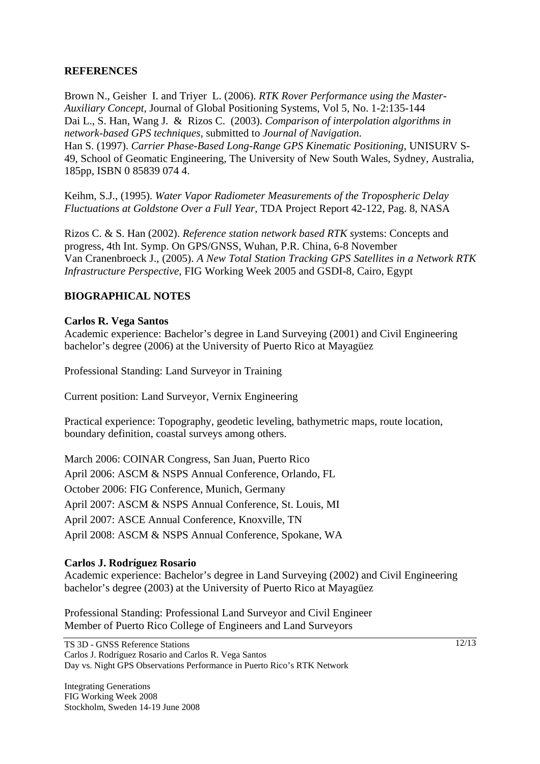### **REFERENCES**

Brown N., Geisher I. and Triyer L. (2006). *RTK Rover Performance using the Master-Auxiliary Concept*, Journal of Global Positioning Systems, Vol 5, No. 1-2:135-144 Dai L., S. Han, Wang J. & Rizos C. (2003). *Comparison of interpolation algorithms in network-based GPS techniques*, submitted to *Journal of Navigation*. Han S. (1997). *Carrier Phase-Based Long-Range GPS Kinematic Positioning*, UNISURV S-49, School of Geomatic Engineering, The University of New South Wales, Sydney, Australia, 185pp, ISBN 0 85839 074 4.

Keihm, S.J., (1995). *Water Vapor Radiometer Measurements of the Tropospheric Delay Fluctuations at Goldstone Over a Full Year*, TDA Project Report 42-122, Pag. 8, NASA

Rizos C. & S. Han (2002). *Reference station network based RTK sys*tems: Concepts and progress, 4th Int. Symp. On GPS/GNSS, Wuhan, P.R. China, 6-8 November Van Cranenbroeck J., (2005). *A New Total Station Tracking GPS Satellites in a Network RTK Infrastructure Perspective*, FIG Working Week 2005 and GSDI-8, Cairo, Egypt

# **BIOGRAPHICAL NOTES**

#### **Carlos R. Vega Santos**

Academic experience: Bachelor's degree in Land Surveying (2001) and Civil Engineering bachelor's degree (2006) at the University of Puerto Rico at Mayagüez

Professional Standing: Land Surveyor in Training

Current position: Land Surveyor, Vernix Engineering

Practical experience: Topography, geodetic leveling, bathymetric maps, route location, boundary definition, coastal surveys among others.

March 2006: COINAR Congress, San Juan, Puerto Rico April 2006: ASCM & NSPS Annual Conference, Orlando, FL October 2006: FIG Conference, Munich, Germany April 2007: ASCM & NSPS Annual Conference, St. Louis, MI April 2007: ASCE Annual Conference, Knoxville, TN April 2008: ASCM & NSPS Annual Conference, Spokane, WA

### **Carlos J. Rodríguez Rosario**

Academic experience: Bachelor's degree in Land Surveying (2002) and Civil Engineering bachelor's degree (2003) at the University of Puerto Rico at Mayagüez

Professional Standing: Professional Land Surveyor and Civil Engineer Member of Puerto Rico College of Engineers and Land Surveyors